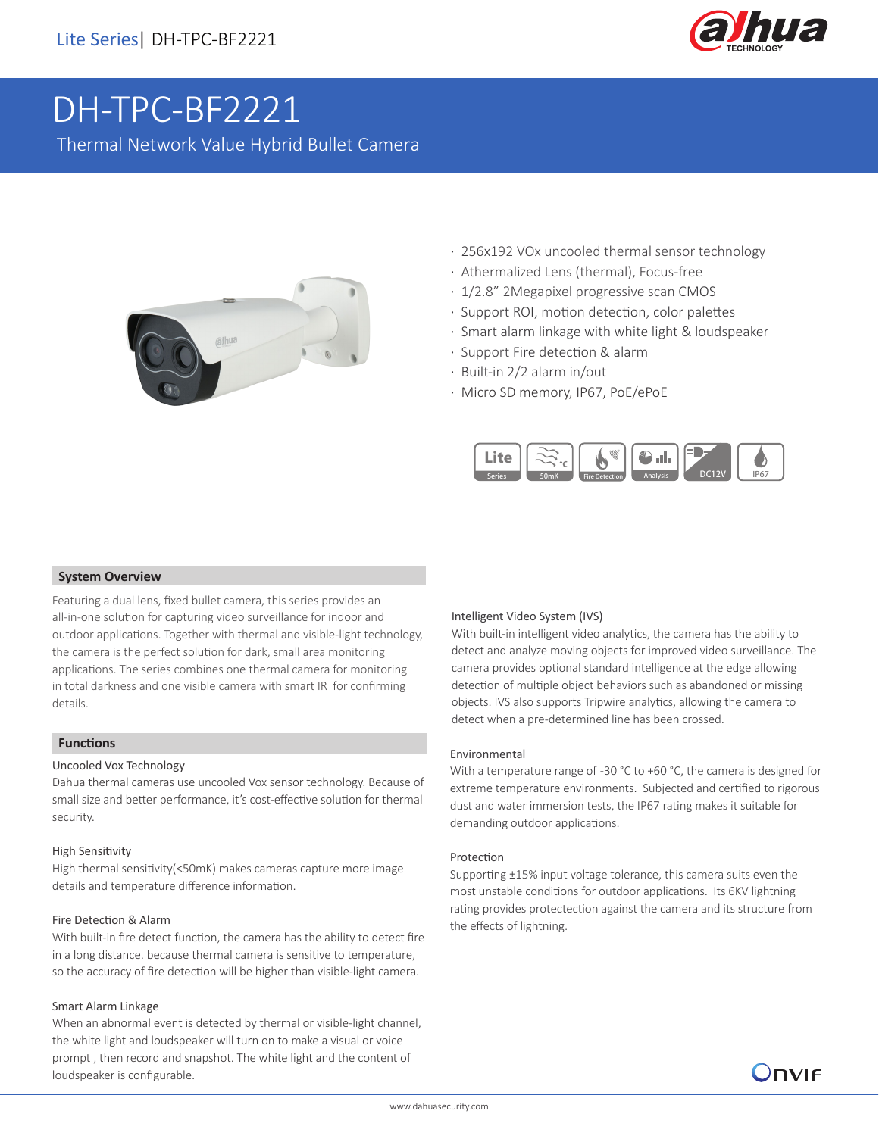

# DH-TPC-BF2221

Thermal Network Value Hybrid Bullet Camera



- · 256x192 VOx uncooled thermal sensor technology
- · Athermalized Lens (thermal), Focus-free
- · 1/2.8" 2Megapixel progressive scan CMOS
- · Support ROI, motion detection, color palettes
- · Smart alarm linkage with white light & loudspeaker
- · Support Fire detection & alarm
- · Built-in 2/2 alarm in/out
- · Micro SD memory, IP67, PoE/ePoE



## **System Overview**

Featuring a dual lens, fixed bullet camera, this series provides an all-in-one solution for capturing video surveillance for indoor and outdoor applications. Together with thermal and visible-light technology, the camera is the perfect solution for dark, small area monitoring applications. The series combines one thermal camera for monitoring in total darkness and one visible camera with smart IR for confirming details.

## **Functions**

#### Uncooled Vox Technology

Dahua thermal cameras use uncooled Vox sensor technology. Because of small size and better performance, it's cost-effective solution for thermal security.

#### High Sensitivity

High thermal sensitivity(<50mK) makes cameras capture more image details and temperature difference information.

#### Fire Detection & Alarm

With built-in fire detect function, the camera has the ability to detect fire in a long distance. because thermal camera is sensitive to temperature, so the accuracy of fire detection will be higher than visible-light camera.

#### Smart Alarm Linkage

When an abnormal event is detected by thermal or visible-light channel, the white light and loudspeaker will turn on to make a visual or voice prompt , then record and snapshot. The white light and the content of loudspeaker is configurable.

#### Intelligent Video System (IVS)

With built-in intelligent video analytics, the camera has the ability to detect and analyze moving objects for improved video surveillance. The camera provides optional standard intelligence at the edge allowing detection of multiple object behaviors such as abandoned or missing objects. IVS also supports Tripwire analytics, allowing the camera to detect when a pre-determined line has been crossed.

#### Environmental

With a temperature range of -30 °C to +60 °C, the camera is designed for extreme temperature environments. Subjected and certified to rigorous dust and water immersion tests, the IP67 rating makes it suitable for demanding outdoor applications.

#### Protection

Supporting ±15% input voltage tolerance, this camera suits even the most unstable conditions for outdoor applications. Its 6KV lightning rating provides protectection against the camera and its structure from the effects of lightning.

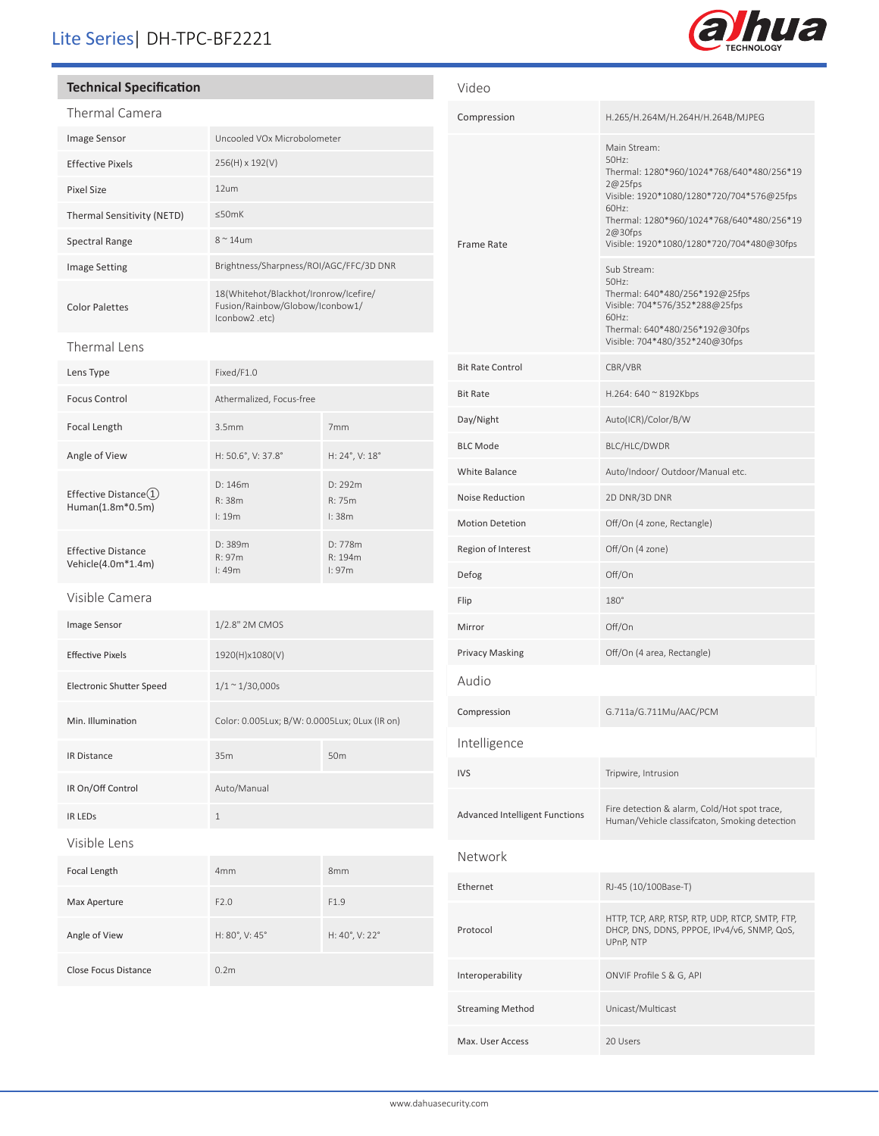# Lite Series| DH-TPC-BF2221

# **Technical Specification**

| <b>Thermal Camera</b>                           |                                                                                            |                             |  |
|-------------------------------------------------|--------------------------------------------------------------------------------------------|-----------------------------|--|
| Image Sensor                                    | Uncooled VOx Microbolometer                                                                |                             |  |
| <b>Effective Pixels</b>                         | 256(H) x 192(V)                                                                            |                             |  |
| <b>Pixel Size</b>                               | 12um                                                                                       |                             |  |
| Thermal Sensitivity (NETD)                      | ≤50mK                                                                                      |                             |  |
| <b>Spectral Range</b>                           | $8^{\sim}$ 14um                                                                            |                             |  |
| <b>Image Setting</b>                            | Brightness/Sharpness/ROI/AGC/FFC/3D DNR                                                    |                             |  |
| <b>Color Palettes</b>                           | 18(Whitehot/Blackhot/Ironrow/Icefire/<br>Fusion/Rainbow/Globow/Iconbow1/<br>lconbow2 .etc) |                             |  |
| Thermal Lens                                    |                                                                                            |                             |  |
| Lens Type                                       | Fixed/F1.0                                                                                 |                             |  |
| <b>Focus Control</b>                            | Athermalized, Focus-free                                                                   |                             |  |
| Focal Length                                    | 3.5 <sub>mm</sub>                                                                          | 7mm                         |  |
| Angle of View                                   | H: 50.6°, V: 37.8°                                                                         | H: 24°, V: 18°              |  |
| Effective Distance $(1)$<br>Human(1.8m*0.5m)    | D: 146m<br>R: 38m<br>l:19m                                                                 | D: 292m<br>R: 75m<br>l: 38m |  |
| <b>Effective Distance</b><br>Vehicle(4.0m*1.4m) | D: 389m<br>R: 97m<br>I:49m                                                                 | D: 778m<br>R: 194m<br>l:97m |  |
| Visible Camera                                  |                                                                                            |                             |  |
| Image Sensor                                    | 1/2.8" 2M CMOS                                                                             |                             |  |
| <b>Effective Pixels</b>                         | 1920(H)x1080(V)                                                                            |                             |  |
| <b>Electronic Shutter Speed</b>                 | $1/1 \sim 1/30,000s$                                                                       |                             |  |
| Min. Illumination                               | Color: 0.005Lux; B/W: 0.0005Lux; 0Lux (IR on)                                              |                             |  |
| IR Distance                                     | 35m                                                                                        | 50 <sub>m</sub>             |  |
| IR On/Off Control                               | Auto/Manual                                                                                |                             |  |
| <b>IR LEDS</b>                                  | $\mathbf 1$                                                                                |                             |  |
| Visible Lens                                    |                                                                                            |                             |  |
| Focal Length                                    | 4mm                                                                                        | 8mm                         |  |
| Max Aperture                                    | F2.0                                                                                       | F1.9                        |  |
| Angle of View                                   | H: 80°, V: 45°                                                                             | H: 40°, V: 22°              |  |
| Close Focus Distance                            | 0.2m                                                                                       |                             |  |

| Video                                 |                                                                                                                                                                                                                                             |  |
|---------------------------------------|---------------------------------------------------------------------------------------------------------------------------------------------------------------------------------------------------------------------------------------------|--|
| Compression                           | H.265/H.264M/H.264H/H.264B/MJPEG                                                                                                                                                                                                            |  |
| Frame Rate                            | Main Stream:<br>50Hz:<br>Thermal: 1280*960/1024*768/640*480/256*19<br>$2@25$ fps<br>Visible: 1920*1080/1280*720/704*576@25fps<br>60Hz:<br>Thermal: 1280*960/1024*768/640*480/256*19<br>2@30fps<br>Visible: 1920*1080/1280*720/704*480@30fps |  |
|                                       | Sub Stream:<br>50Hz:<br>Thermal: 640*480/256*192@25fps<br>Visible: 704*576/352*288@25fps<br>60Hz:<br>Thermal: 640*480/256*192@30fps<br>Visible: 704*480/352*240@30fps                                                                       |  |
| <b>Bit Rate Control</b>               | CBR/VBR                                                                                                                                                                                                                                     |  |
| <b>Bit Rate</b>                       | H.264: 640 $\approx$ 8192Kbps                                                                                                                                                                                                               |  |
| Day/Night                             | Auto(ICR)/Color/B/W                                                                                                                                                                                                                         |  |
| <b>BLC Mode</b>                       | BLC/HLC/DWDR                                                                                                                                                                                                                                |  |
| White Balance                         | Auto/Indoor/ Outdoor/Manual etc.                                                                                                                                                                                                            |  |
| Noise Reduction                       | 2D DNR/3D DNR                                                                                                                                                                                                                               |  |
| <b>Motion Detetion</b>                | Off/On (4 zone, Rectangle)                                                                                                                                                                                                                  |  |
| Region of Interest                    | Off/On (4 zone)                                                                                                                                                                                                                             |  |
| Defog                                 | Off/On                                                                                                                                                                                                                                      |  |
| Flip                                  | 180°                                                                                                                                                                                                                                        |  |
| Mirror                                | Off/On                                                                                                                                                                                                                                      |  |
| <b>Privacy Masking</b>                | Off/On (4 area, Rectangle)                                                                                                                                                                                                                  |  |
| Audio                                 |                                                                                                                                                                                                                                             |  |
| Compression                           | G.711a/G.711Mu/AAC/PCM                                                                                                                                                                                                                      |  |
| Intelligence                          |                                                                                                                                                                                                                                             |  |
| <b>IVS</b>                            | Tripwire, Intrusion                                                                                                                                                                                                                         |  |
| <b>Advanced Intelligent Functions</b> | Fire detection & alarm, Cold/Hot spot trace,<br>Human/Vehicle classifcaton, Smoking detection                                                                                                                                               |  |
| Network                               |                                                                                                                                                                                                                                             |  |
| Ethernet                              | RJ-45 (10/100Base-T)                                                                                                                                                                                                                        |  |
| Protocol                              | HTTP, TCP, ARP, RTSP, RTP, UDP, RTCP, SMTP, FTP,<br>DHCP, DNS, DDNS, PPPOE, IPv4/v6, SNMP, QoS,<br>UPnP, NTP                                                                                                                                |  |
| Interoperability                      | ONVIF Profile S & G, API                                                                                                                                                                                                                    |  |
| <b>Streaming Method</b>               | Unicast/Multicast                                                                                                                                                                                                                           |  |
| Max. User Access                      | 20 Users                                                                                                                                                                                                                                    |  |